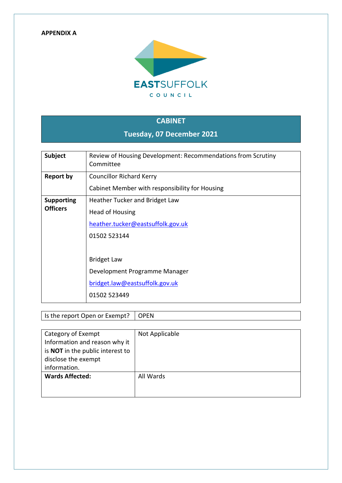### **APPENDIX A**



# **CABINET Tuesday, 07 December 2021**

| Subject           | Review of Housing Development: Recommendations from Scrutiny |
|-------------------|--------------------------------------------------------------|
|                   | Committee                                                    |
| <b>Report by</b>  | <b>Councillor Richard Kerry</b>                              |
|                   | Cabinet Member with responsibility for Housing               |
| <b>Supporting</b> | Heather Tucker and Bridget Law                               |
| <b>Officers</b>   | Head of Housing                                              |
|                   | heather.tucker@eastsuffolk.gov.uk                            |
|                   | 01502 523144                                                 |
|                   |                                                              |
|                   | <b>Bridget Law</b>                                           |
|                   | Development Programme Manager                                |
|                   | bridget.law@eastsuffolk.gov.uk                               |
|                   | 01502 523449                                                 |

Is the report Open or Exempt? | OPEN

| Category of Exempt                      | Not Applicable |
|-----------------------------------------|----------------|
| Information and reason why it           |                |
| is <b>NOT</b> in the public interest to |                |
| disclose the exempt                     |                |
| information.                            |                |
| <b>Wards Affected:</b>                  | All Wards      |
|                                         |                |
|                                         |                |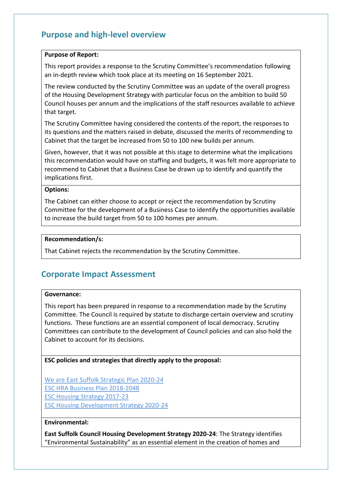## **Purpose and high-level overview**

### **Purpose of Report:**

This report provides a response to the Scrutiny Committee's recommendation following an in-depth review which took place at its meeting on 16 September 2021.

The review conducted by the Scrutiny Committee was an update of the overall progress of the Housing Development Strategy with particular focus on the ambition to build 50 Council houses per annum and the implications of the staff resources available to achieve that target.

The Scrutiny Committee having considered the contents of the report, the responses to its questions and the matters raised in debate, discussed the merits of recommending to Cabinet that the target be increased from 50 to 100 new builds per annum.

Given, however, that it was not possible at this stage to determine what the implications this recommendation would have on staffing and budgets, it was felt more appropriate to recommend to Cabinet that a Business Case be drawn up to identify and quantify the implications first.

### **Options:**

The Cabinet can either choose to accept or reject the recommendation by Scrutiny Committee for the development of a Business Case to identify the opportunities available to increase the build target from 50 to 100 homes per annum.

### **Recommendation/s:**

That Cabinet rejects the recommendation by the Scrutiny Committee.

## **Corporate Impact Assessment**

### **Governance:**

This report has been prepared in response to a recommendation made by the Scrutiny Committee. The Council is required by statute to discharge certain overview and scrutiny functions. These functions are an essential component of local democracy. Scrutiny Committees can contribute to the development of Council policies and can also hold the Cabinet to account for its decisions.

### **ESC policies and strategies that directly apply to the proposal:**

[We are East Suffolk Strategic Plan 2020-24](https://www.paperturn-view.com/uk/east-suffolk/strategic-plan-2020-2024?pid=Nzg78875&v=1.1) [ESC HRA Business Plan 2018-2048](https://www.eastsuffolk.gov.uk/housing/housing-policies-and-strategies/housing-revenue-account-business-plan) ESC Housing Strategy 2017-23 [ESC Housing Development Strategy 2020-24](https://www.eastsuffolk.gov.uk/assets/Housing/Housing-Development-Strategy.pdf)

### **Environmental:**

**East Suffolk Council Housing Development Strategy 2020-24**: The Strategy identifies "Environmental Sustainability" as an essential element in the creation of homes and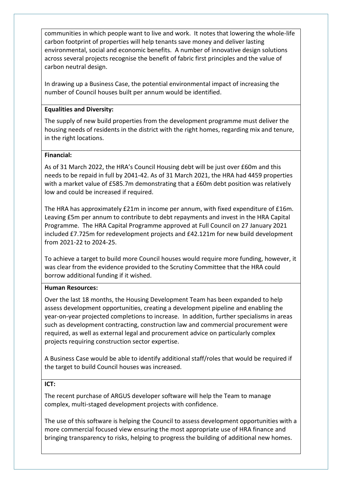communities in which people want to live and work. It notes that lowering the whole-life carbon footprint of properties will help tenants save money and deliver lasting environmental, social and economic benefits. A number of innovative design solutions across several projects recognise the benefit of fabric first principles and the value of carbon neutral design.

In drawing up a Business Case, the potential environmental impact of increasing the number of Council houses built per annum would be identified.

### **Equalities and Diversity:**

The supply of new build properties from the development programme must deliver the housing needs of residents in the district with the right homes, regarding mix and tenure, in the right locations.

### **Financial:**

As of 31 March 2022, the HRA's Council Housing debt will be just over £60m and this needs to be repaid in full by 2041-42. As of 31 March 2021, the HRA had 4459 properties with a market value of £585.7m demonstrating that a £60m debt position was relatively low and could be increased if required.

The HRA has approximately £21m in income per annum, with fixed expenditure of £16m. Leaving £5m per annum to contribute to debt repayments and invest in the HRA Capital Programme. The HRA Capital Programme approved at Full Council on 27 January 2021 included £7.725m for redevelopment projects and £42.121m for new build development from 2021-22 to 2024-25.

To achieve a target to build more Council houses would require more funding, however, it was clear from the evidence provided to the Scrutiny Committee that the HRA could borrow additional funding if it wished.

### **Human Resources:**

Over the last 18 months, the Housing Development Team has been expanded to help assess development opportunities, creating a development pipeline and enabling the year-on-year projected completions to increase. In addition, further specialisms in areas such as development contracting, construction law and commercial procurement were required, as well as external legal and procurement advice on particularly complex projects requiring construction sector expertise.

A Business Case would be able to identify additional staff/roles that would be required if the target to build Council houses was increased.

### **ICT:**

The recent purchase of ARGUS developer software will help the Team to manage complex, multi-staged development projects with confidence.

The use of this software is helping the Council to assess development opportunities with a more commercial focused view ensuring the most appropriate use of HRA finance and bringing transparency to risks, helping to progress the building of additional new homes.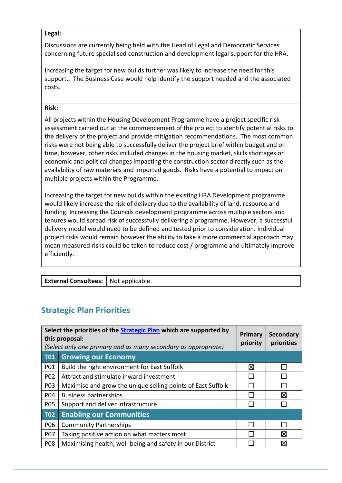### **Legal:**

Discussions are currently being held with the Head of Legal and Democratic Services concerning future specialised construction and development legal support for the HRA.

Increasing the target for new builds further was likely to increase the need for this support.. The Business Case would help identify the support needed and the associated costs.

### **Risk:**

All projects within the Housing Development Programme have a project specific risk assessment carried out at the commencement of the project to identify potential risks to the delivery of the project and provide mitigation recommendations. The most common risks were not being able to successfully deliver the project brief within budget and on time, however, other risks included changes in the housing market, skills shortages or economic and political changes impacting the construction sector directly such as the availability of raw materials and imported goods. Risks have a potential to impact on multiple projects within the Programme.

Increasing the target for new builds within the existing HRA Development programme would likely increase the risk of delivery due to the availability of land, resource and funding. Increasing the Councils development programme across multiple sectors and tenures would spread risk of successfully delivering a programme. However, a successful delivery model would need to be defined and tested prior to consideration. Individual project risks would remain however the ability to take a more commercial approach may mean measured risks could be taken to reduce cost / programme and ultimately improve efficiently.

**External Consultees:** | Not applicable.

# **Strategic Plan Priorities**

| Select the priorities of the Strategic Plan which are supported by<br>this proposal:<br>(Select only one primary and as many secondary as appropriate) |                                                             | Primary<br>priority | <b>Secondary</b><br>priorities |
|--------------------------------------------------------------------------------------------------------------------------------------------------------|-------------------------------------------------------------|---------------------|--------------------------------|
| <b>T01</b>                                                                                                                                             | <b>Growing our Economy</b>                                  |                     |                                |
| P01                                                                                                                                                    | Build the right environment for East Suffolk                | ⊠                   |                                |
| P <sub>0</sub> 2                                                                                                                                       | Attract and stimulate inward investment                     | $\mathbb{R}^n$      |                                |
| P03                                                                                                                                                    | Maximise and grow the unique selling points of East Suffolk |                     |                                |
| P04                                                                                                                                                    | <b>Business partnerships</b>                                |                     | ⊠                              |
| <b>P05</b>                                                                                                                                             | Support and deliver infrastructure                          |                     |                                |
| <b>T02</b>                                                                                                                                             | <b>Enabling our Communities</b>                             |                     |                                |
| P06                                                                                                                                                    | <b>Community Partnerships</b>                               | L                   |                                |
| <b>P07</b>                                                                                                                                             | Taking positive action on what matters most                 |                     | ⊠                              |
| <b>P08</b>                                                                                                                                             | Maximising health, well-being and safety in our District    |                     | X                              |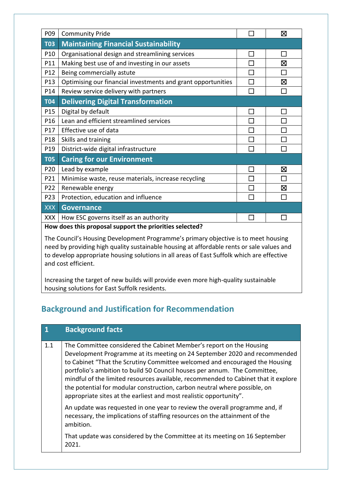| P09                                                     | <b>Community Pride</b>                                       |              | 区 |
|---------------------------------------------------------|--------------------------------------------------------------|--------------|---|
| <b>T03</b>                                              | <b>Maintaining Financial Sustainability</b>                  |              |   |
| P10                                                     | Organisational design and streamlining services              | $\mathsf{L}$ |   |
| P11                                                     | Making best use of and investing in our assets               |              | ⊠ |
| P12                                                     | Being commercially astute                                    |              |   |
| P13                                                     | Optimising our financial investments and grant opportunities | П            | ⊠ |
| P14                                                     | Review service delivery with partners                        | П            |   |
| <b>T04</b>                                              | <b>Delivering Digital Transformation</b>                     |              |   |
| P15                                                     | Digital by default                                           | П            |   |
| P16                                                     | Lean and efficient streamlined services                      |              |   |
| P17                                                     | Effective use of data                                        |              |   |
| P18                                                     | Skills and training                                          |              |   |
| P19                                                     | District-wide digital infrastructure                         |              |   |
| <b>T05</b>                                              | <b>Caring for our Environment</b>                            |              |   |
| P20                                                     | Lead by example                                              |              | 区 |
| P21                                                     | Minimise waste, reuse materials, increase recycling          |              |   |
| P22                                                     | Renewable energy                                             |              | ⊠ |
| P23                                                     | Protection, education and influence                          | П            |   |
| <b>XXX</b>                                              | <b>Governance</b>                                            |              |   |
| <b>XXX</b>                                              | How ESC governs itself as an authority                       | $\mathbf{I}$ |   |
| How does this proposal support the priorities selected? |                                                              |              |   |

The Council's Housing Development Programme's primary objective is to meet housing need by providing high quality sustainable housing at affordable rents or sale values and to develop appropriate housing solutions in all areas of East Suffolk which are effective and cost efficient.

Increasing the target of new builds will provide even more high-quality sustainable housing solutions for East Suffolk residents.

# **Background and Justification for Recommendation**

|     | <b>Background facts</b>                                                                                                                                                                                                                                                                                                                                                                                                                                                                                                                               |
|-----|-------------------------------------------------------------------------------------------------------------------------------------------------------------------------------------------------------------------------------------------------------------------------------------------------------------------------------------------------------------------------------------------------------------------------------------------------------------------------------------------------------------------------------------------------------|
| 1.1 | The Committee considered the Cabinet Member's report on the Housing<br>Development Programme at its meeting on 24 September 2020 and recommended<br>to Cabinet "That the Scrutiny Committee welcomed and encouraged the Housing<br>portfolio's ambition to build 50 Council houses per annum. The Committee,<br>mindful of the limited resources available, recommended to Cabinet that it explore<br>the potential for modular construction, carbon neutral where possible, on<br>appropriate sites at the earliest and most realistic opportunity". |
|     | An update was requested in one year to review the overall programme and, if<br>necessary, the implications of staffing resources on the attainment of the<br>ambition.                                                                                                                                                                                                                                                                                                                                                                                |
|     | That update was considered by the Committee at its meeting on 16 September<br>2021.                                                                                                                                                                                                                                                                                                                                                                                                                                                                   |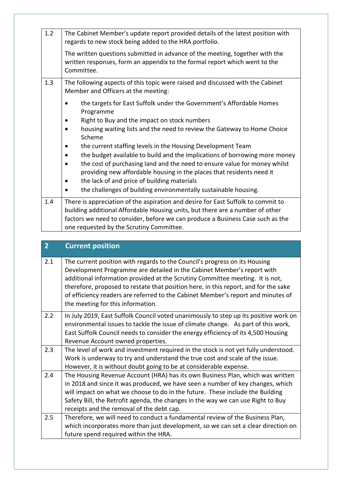| 1.2 | The Cabinet Member's update report provided details of the latest position with<br>regards to new stock being added to the HRA portfolio.                                                                                                                                                       |  |
|-----|-------------------------------------------------------------------------------------------------------------------------------------------------------------------------------------------------------------------------------------------------------------------------------------------------|--|
|     | The written questions submitted in advance of the meeting, together with the<br>written responses, form an appendix to the formal report which went to the<br>Committee.                                                                                                                        |  |
| 1.3 | The following aspects of this topic were raised and discussed with the Cabinet<br>Member and Officers at the meeting:                                                                                                                                                                           |  |
|     | the targets for East Suffolk under the Government's Affordable Homes<br>Programme                                                                                                                                                                                                               |  |
|     | Right to Buy and the impact on stock numbers                                                                                                                                                                                                                                                    |  |
|     | housing waiting lists and the need to review the Gateway to Home Choice<br>$\bullet$<br>Scheme                                                                                                                                                                                                  |  |
|     | the current staffing levels in the Housing Development Team<br>$\bullet$                                                                                                                                                                                                                        |  |
|     | the budget available to build and the implications of borrowing more money                                                                                                                                                                                                                      |  |
|     | the cost of purchasing land and the need to ensure value for money whilst<br>providing new affordable housing in the places that residents need it                                                                                                                                              |  |
|     | the lack of and price of building materials<br>$\bullet$                                                                                                                                                                                                                                        |  |
|     | the challenges of building environmentally sustainable housing.                                                                                                                                                                                                                                 |  |
| 1.4 | There is appreciation of the aspiration and desire for East Suffolk to commit to<br>building additional Affordable Housing units, but there are a number of other<br>factors we need to consider, before we can produce a Business Case such as the<br>one requested by the Scrutiny Committee. |  |

| $\overline{2}$ | <b>Current position</b>                                                                                                                                                                                                                                                                                                                                                                                                                               |
|----------------|-------------------------------------------------------------------------------------------------------------------------------------------------------------------------------------------------------------------------------------------------------------------------------------------------------------------------------------------------------------------------------------------------------------------------------------------------------|
| 2.1            | The current position with regards to the Council's progress on its Housing<br>Development Programme are detailed in the Cabinet Member's report with<br>additional information provided at the Scrutiny Committee meeting. It is not,<br>therefore, proposed to restate that position here, in this report, and for the sake<br>of efficiency readers are referred to the Cabinet Member's report and minutes of<br>the meeting for this information. |
| 2.2            | In July 2019, East Suffolk Council voted unanimously to step up its positive work on<br>environmental issues to tackle the issue of climate change. As part of this work,<br>East Suffolk Council needs to consider the energy efficiency of its 4,500 Housing<br>Revenue Account owned properties.                                                                                                                                                   |
| 2.3            | The level of work and investment required in the stock is not yet fully understood.<br>Work is underway to try and understand the true cost and scale of the issue.<br>However, it is without doubt going to be at considerable expense.                                                                                                                                                                                                              |
| 2.4            | The Housing Revenue Account (HRA) has its own Business Plan, which was written<br>in 2018 and since it was produced, we have seen a number of key changes, which<br>will impact on what we choose to do in the future. These include the Building<br>Safety Bill, the Retrofit agenda, the changes in the way we can use Right to Buy<br>receipts and the removal of the debt cap.                                                                    |
| 2.5            | Therefore, we will need to conduct a fundamental review of the Business Plan,<br>which incorporates more than just development, so we can set a clear direction on<br>future spend required within the HRA.                                                                                                                                                                                                                                           |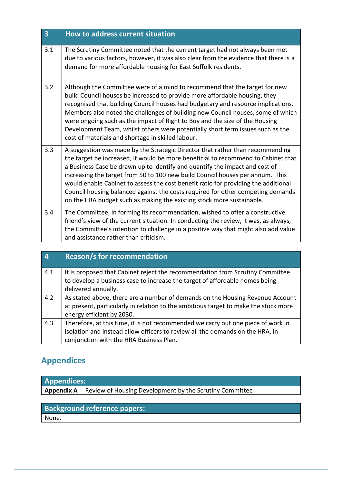| $\overline{\mathbf{3}}$ | <b>How to address current situation</b>                                                                                                                                                                                                                                                                                                                                                                                                                                                                                                                                              |
|-------------------------|--------------------------------------------------------------------------------------------------------------------------------------------------------------------------------------------------------------------------------------------------------------------------------------------------------------------------------------------------------------------------------------------------------------------------------------------------------------------------------------------------------------------------------------------------------------------------------------|
| 3.1                     | The Scrutiny Committee noted that the current target had not always been met<br>due to various factors, however, it was also clear from the evidence that there is a<br>demand for more affordable housing for East Suffolk residents.                                                                                                                                                                                                                                                                                                                                               |
| 3.2                     | Although the Committee were of a mind to recommend that the target for new<br>build Council houses be increased to provide more affordable housing, they<br>recognised that building Council houses had budgetary and resource implications.<br>Members also noted the challenges of building new Council houses, some of which<br>were ongoing such as the impact of Right to Buy and the size of the Housing<br>Development Team, whilst others were potentially short term issues such as the<br>cost of materials and shortage in skilled labour.                                |
| 3.3                     | A suggestion was made by the Strategic Director that rather than recommending<br>the target be increased, it would be more beneficial to recommend to Cabinet that<br>a Business Case be drawn up to identify and quantify the impact and cost of<br>increasing the target from 50 to 100 new build Council houses per annum. This<br>would enable Cabinet to assess the cost benefit ratio for providing the additional<br>Council housing balanced against the costs required for other competing demands<br>on the HRA budget such as making the existing stock more sustainable. |
| 3.4                     | The Committee, in forming its recommendation, wished to offer a constructive<br>friend's view of the current situation. In conducting the review, it was, as always,<br>the Committee's intention to challenge in a positive way that might also add value<br>and assistance rather than criticism.                                                                                                                                                                                                                                                                                  |

| $\overline{4}$ | <b>Reason/s for recommendation</b>                                                                                                                                                                           |
|----------------|--------------------------------------------------------------------------------------------------------------------------------------------------------------------------------------------------------------|
| 4.1            | It is proposed that Cabinet reject the recommendation from Scrutiny Committee<br>to develop a business case to increase the target of affordable homes being<br>delivered annually.                          |
| 4.2            | As stated above, there are a number of demands on the Housing Revenue Account<br>at present, particularly in relation to the ambitious target to make the stock more<br>energy efficient by 2030.            |
| 4.3            | Therefore, at this time, it is not recommended we carry out one piece of work in<br>isolation and instead allow officers to review all the demands on the HRA, in<br>conjunction with the HRA Business Plan. |

# **Appendices**

**Appendices: Appendix A** Review of Housing Development by the Scrutiny Committee

# **Background reference papers:**

None.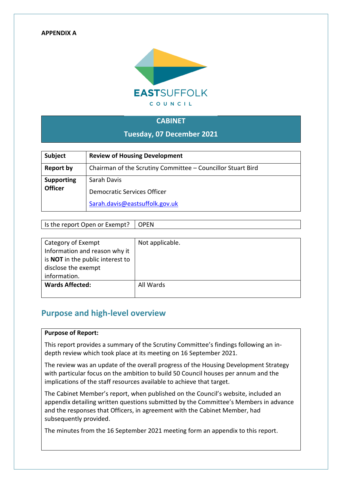### **APPENDIX A**



# **CABINET**

### **Tuesday, 07 December 2021**

| <b>Subject</b>    | <b>Review of Housing Development</b>                        |  |
|-------------------|-------------------------------------------------------------|--|
| Report by         | Chairman of the Scrutiny Committee - Councillor Stuart Bird |  |
| <b>Supporting</b> | Sarah Davis                                                 |  |
| <b>Officer</b>    | Democratic Services Officer                                 |  |
|                   | Sarah.davis@eastsuffolk.gov.uk                              |  |

| Is the report Open or Exempt? | I OPEN          |
|-------------------------------|-----------------|
|                               |                 |
| Category of Exempt            | Not applicable. |
| Information and reason why it |                 |

| <b>Wards Affected:</b>                  | All Wards |
|-----------------------------------------|-----------|
| information.                            |           |
| disclose the exempt                     |           |
| is <b>NOT</b> in the public interest to |           |
| Information and reason why it           |           |

## **Purpose and high-level overview**

### **Purpose of Report:**

This report provides a summary of the Scrutiny Committee's findings following an indepth review which took place at its meeting on 16 September 2021.

The review was an update of the overall progress of the Housing Development Strategy with particular focus on the ambition to build 50 Council houses per annum and the implications of the staff resources available to achieve that target.

The Cabinet Member's report, when published on the Council's website, included an appendix detailing written questions submitted by the Committee's Members in advance and the responses that Officers, in agreement with the Cabinet Member, had subsequently provided.

The minutes from the 16 September 2021 meeting form an appendix to this report.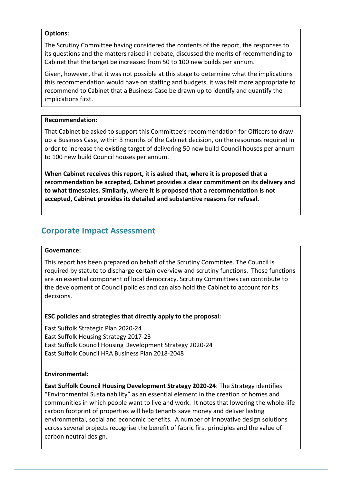### **Options:**

The Scrutiny Committee having considered the contents of the report, the responses to its questions and the matters raised in debate, discussed the merits of recommending to Cabinet that the target be increased from 50 to 100 new builds per annum.

Given, however, that it was not possible at this stage to determine what the implications this recommendation would have on staffing and budgets, it was felt more appropriate to recommend to Cabinet that a Business Case be drawn up to identify and quantify the implications first.

### **Recommendation:**

That Cabinet be asked to support this Committee's recommendation for Officers to draw up a Business Case, within 3 months of the Cabinet decision, on the resources required in order to increase the existing target of delivering 50 new build Council houses per annum to 100 new build Council houses per annum.

**When Cabinet receives this report, it is asked that, where it is proposed that a recommendation be accepted, Cabinet provides a clear commitment on its delivery and to what timescales. Similarly, where it is proposed that a recommendation is not accepted, Cabinet provides its detailed and substantive reasons for refusal.** 

### **Corporate Impact Assessment**

### **Governance:**

This report has been prepared on behalf of the Scrutiny Committee. The Council is required by statute to discharge certain overview and scrutiny functions. These functions are an essential component of local democracy. Scrutiny Committees can contribute to the development of Council policies and can also hold the Cabinet to account for its decisions.

### **ESC policies and strategies that directly apply to the proposal:**

East Suffolk Strategic Plan 2020-24 East Suffolk Housing Strategy 2017-23 East Suffolk Council Housing Development Strategy 2020-24 East Suffolk Council HRA Business Plan 2018-2048

### **Environmental:**

**East Suffolk Council Housing Development Strategy 2020-24**: The Strategy identifies "Environmental Sustainability" as an essential element in the creation of homes and communities in which people want to live and work. It notes that lowering the whole-life carbon footprint of properties will help tenants save money and deliver lasting environmental, social and economic benefits. A number of innovative design solutions across several projects recognise the benefit of fabric first principles and the value of carbon neutral design.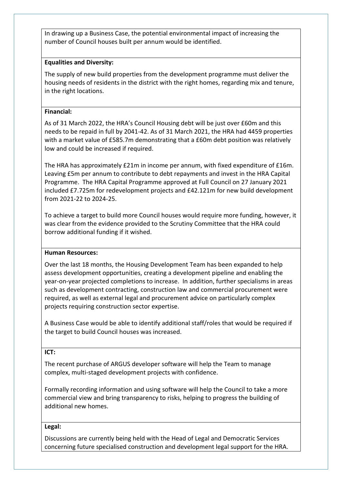In drawing up a Business Case, the potential environmental impact of increasing the number of Council houses built per annum would be identified.

### **Equalities and Diversity:**

The supply of new build properties from the development programme must deliver the housing needs of residents in the district with the right homes, regarding mix and tenure, in the right locations.

### **Financial:**

As of 31 March 2022, the HRA's Council Housing debt will be just over £60m and this needs to be repaid in full by 2041-42. As of 31 March 2021, the HRA had 4459 properties with a market value of £585.7m demonstrating that a £60m debt position was relatively low and could be increased if required.

The HRA has approximately £21m in income per annum, with fixed expenditure of £16m. Leaving £5m per annum to contribute to debt repayments and invest in the HRA Capital Programme. The HRA Capital Programme approved at Full Council on 27 January 2021 included £7.725m for redevelopment projects and £42.121m for new build development from 2021-22 to 2024-25.

To achieve a target to build more Council houses would require more funding, however, it was clear from the evidence provided to the Scrutiny Committee that the HRA could borrow additional funding if it wished.

### **Human Resources:**

Over the last 18 months, the Housing Development Team has been expanded to help assess development opportunities, creating a development pipeline and enabling the year-on-year projected completions to increase. In addition, further specialisms in areas such as development contracting, construction law and commercial procurement were required, as well as external legal and procurement advice on particularly complex projects requiring construction sector expertise.

A Business Case would be able to identify additional staff/roles that would be required if the target to build Council houses was increased.

### **ICT:**

The recent purchase of ARGUS developer software will help the Team to manage complex, multi-staged development projects with confidence.

Formally recording information and using software will help the Council to take a more commercial view and bring transparency to risks, helping to progress the building of additional new homes.

### **Legal:**

Discussions are currently being held with the Head of Legal and Democratic Services concerning future specialised construction and development legal support for the HRA.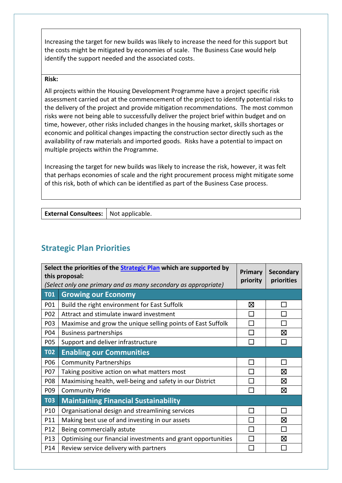Increasing the target for new builds was likely to increase the need for this support but the costs might be mitigated by economies of scale. The Business Case would help identify the support needed and the associated costs.

### **Risk:**

All projects within the Housing Development Programme have a project specific risk assessment carried out at the commencement of the project to identify potential risks to the delivery of the project and provide mitigation recommendations. The most common risks were not being able to successfully deliver the project brief within budget and on time, however, other risks included changes in the housing market, skills shortages or economic and political changes impacting the construction sector directly such as the availability of raw materials and imported goods. Risks have a potential to impact on multiple projects within the Programme.

Increasing the target for new builds was likely to increase the risk, however, it was felt that perhaps economies of scale and the right procurement process might mitigate some of this risk, both of which can be identified as part of the Business Case process.

**External Consultees:** Not applicable.

# **Strategic Plan Priorities**

| Select the priorities of the <b>Strategic Plan</b> which are supported by<br>this proposal:<br>(Select only one primary and as many secondary as appropriate) |                                                              | <b>Primary</b><br>priority | <b>Secondary</b><br>priorities |
|---------------------------------------------------------------------------------------------------------------------------------------------------------------|--------------------------------------------------------------|----------------------------|--------------------------------|
| <b>T01</b>                                                                                                                                                    | <b>Growing our Economy</b>                                   |                            |                                |
| P01                                                                                                                                                           | Build the right environment for East Suffolk                 | ⊠                          |                                |
| P02                                                                                                                                                           | Attract and stimulate inward investment                      | $\mathbf{I}$               |                                |
| P03                                                                                                                                                           | Maximise and grow the unique selling points of East Suffolk  |                            |                                |
| P04                                                                                                                                                           | <b>Business partnerships</b>                                 |                            | ⊠                              |
| P05                                                                                                                                                           | Support and deliver infrastructure                           | П                          |                                |
| <b>T02</b>                                                                                                                                                    | <b>Enabling our Communities</b>                              |                            |                                |
| P06                                                                                                                                                           | <b>Community Partnerships</b>                                |                            |                                |
| <b>P07</b>                                                                                                                                                    | Taking positive action on what matters most                  |                            | ⊠                              |
| P08                                                                                                                                                           | Maximising health, well-being and safety in our District     |                            | ⊠                              |
| P <sub>09</sub>                                                                                                                                               | <b>Community Pride</b>                                       |                            | 区                              |
| <b>T03</b>                                                                                                                                                    | <b>Maintaining Financial Sustainability</b>                  |                            |                                |
| P10                                                                                                                                                           | Organisational design and streamlining services              |                            |                                |
| P11                                                                                                                                                           | Making best use of and investing in our assets               |                            | 区                              |
| P12                                                                                                                                                           | Being commercially astute                                    |                            |                                |
| P13                                                                                                                                                           | Optimising our financial investments and grant opportunities |                            | ⊠                              |
| P14                                                                                                                                                           | Review service delivery with partners                        |                            |                                |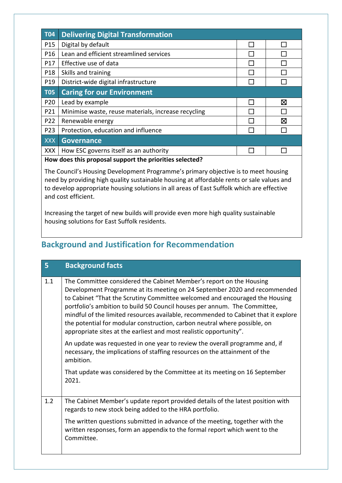| <b>T04</b>                                              | <b>Delivering Digital Transformation</b>            |  |   |
|---------------------------------------------------------|-----------------------------------------------------|--|---|
| P15                                                     | Digital by default                                  |  |   |
| P <sub>16</sub>                                         | Lean and efficient streamlined services             |  |   |
| P17                                                     | Effective use of data                               |  |   |
| P18                                                     | Skills and training                                 |  |   |
| P19                                                     | District-wide digital infrastructure                |  |   |
| <b>T05</b>                                              | <b>Caring for our Environment</b>                   |  |   |
| P20                                                     | Lead by example                                     |  | ⊠ |
| P21                                                     | Minimise waste, reuse materials, increase recycling |  |   |
| P22                                                     | Renewable energy                                    |  | ⊠ |
| P23                                                     | Protection, education and influence                 |  |   |
| <b>XXX</b>                                              | <b>Governance</b>                                   |  |   |
| XXX                                                     | How ESC governs itself as an authority              |  |   |
| How does this proposal support the priorities selected? |                                                     |  |   |

The Council's Housing Development Programme's primary objective is to meet housing need by providing high quality sustainable housing at affordable rents or sale values and to develop appropriate housing solutions in all areas of East Suffolk which are effective and cost efficient.

Increasing the target of new builds will provide even more high quality sustainable housing solutions for East Suffolk residents.

# **Background and Justification for Recommendation**

| 5   | <b>Background facts</b>                                                                                                                                                                                                                                                                                                                                                                                                                                                                                                                               |
|-----|-------------------------------------------------------------------------------------------------------------------------------------------------------------------------------------------------------------------------------------------------------------------------------------------------------------------------------------------------------------------------------------------------------------------------------------------------------------------------------------------------------------------------------------------------------|
| 1.1 | The Committee considered the Cabinet Member's report on the Housing<br>Development Programme at its meeting on 24 September 2020 and recommended<br>to Cabinet "That the Scrutiny Committee welcomed and encouraged the Housing<br>portfolio's ambition to build 50 Council houses per annum. The Committee,<br>mindful of the limited resources available, recommended to Cabinet that it explore<br>the potential for modular construction, carbon neutral where possible, on<br>appropriate sites at the earliest and most realistic opportunity". |
|     | An update was requested in one year to review the overall programme and, if<br>necessary, the implications of staffing resources on the attainment of the<br>ambition.                                                                                                                                                                                                                                                                                                                                                                                |
|     | That update was considered by the Committee at its meeting on 16 September<br>2021.                                                                                                                                                                                                                                                                                                                                                                                                                                                                   |
| 1.2 | The Cabinet Member's update report provided details of the latest position with<br>regards to new stock being added to the HRA portfolio.                                                                                                                                                                                                                                                                                                                                                                                                             |
|     | The written questions submitted in advance of the meeting, together with the<br>written responses, form an appendix to the formal report which went to the<br>Committee.                                                                                                                                                                                                                                                                                                                                                                              |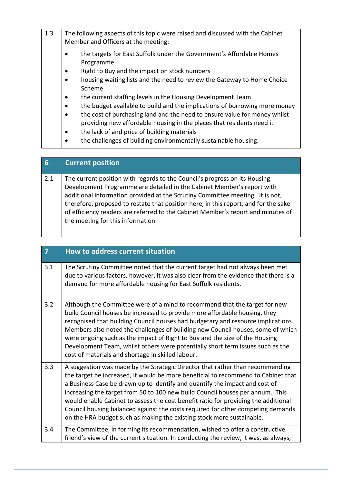| 1.3 | The following aspects of this topic were raised and discussed with the Cabinet<br>Member and Officers at the meeting:                                           |  |
|-----|-----------------------------------------------------------------------------------------------------------------------------------------------------------------|--|
|     | the targets for East Suffolk under the Government's Affordable Homes<br>Programme                                                                               |  |
|     | Right to Buy and the impact on stock numbers<br>$\bullet$                                                                                                       |  |
|     | housing waiting lists and the need to review the Gateway to Home Choice<br>$\bullet$<br>Scheme                                                                  |  |
|     | the current staffing levels in the Housing Development Team<br>$\bullet$                                                                                        |  |
|     | the budget available to build and the implications of borrowing more money<br>٠                                                                                 |  |
|     | the cost of purchasing land and the need to ensure value for money whilst<br>$\bullet$<br>providing new affordable housing in the places that residents need it |  |
|     | the lack of and price of building materials<br>٠                                                                                                                |  |
|     | the challenges of building environmentally sustainable housing.                                                                                                 |  |

# **6 Current position**

2.1 The current position with regards to the Council's progress on its Housing Development Programme are detailed in the Cabinet Member's report with additional information provided at the Scrutiny Committee meeting. It is not, therefore, proposed to restate that position here, in this report, and for the sake of efficiency readers are referred to the Cabinet Member's report and minutes of the meeting for this information.

| $\overline{7}$ | How to address current situation                                                                                                                                                                                                                                                                                                                                                                                                                                                                                                                                                     |
|----------------|--------------------------------------------------------------------------------------------------------------------------------------------------------------------------------------------------------------------------------------------------------------------------------------------------------------------------------------------------------------------------------------------------------------------------------------------------------------------------------------------------------------------------------------------------------------------------------------|
| 3.1            | The Scrutiny Committee noted that the current target had not always been met<br>due to various factors, however, it was also clear from the evidence that there is a<br>demand for more affordable housing for East Suffolk residents.                                                                                                                                                                                                                                                                                                                                               |
| 3.2            | Although the Committee were of a mind to recommend that the target for new<br>build Council houses be increased to provide more affordable housing, they<br>recognised that building Council houses had budgetary and resource implications.<br>Members also noted the challenges of building new Council houses, some of which<br>were ongoing such as the impact of Right to Buy and the size of the Housing<br>Development Team, whilst others were potentially short term issues such as the<br>cost of materials and shortage in skilled labour.                                |
| 3.3            | A suggestion was made by the Strategic Director that rather than recommending<br>the target be increased, it would be more beneficial to recommend to Cabinet that<br>a Business Case be drawn up to identify and quantify the impact and cost of<br>increasing the target from 50 to 100 new build Council houses per annum. This<br>would enable Cabinet to assess the cost benefit ratio for providing the additional<br>Council housing balanced against the costs required for other competing demands<br>on the HRA budget such as making the existing stock more sustainable. |
| 3.4            | The Committee, in forming its recommendation, wished to offer a constructive<br>friend's view of the current situation. In conducting the review, it was, as always,                                                                                                                                                                                                                                                                                                                                                                                                                 |